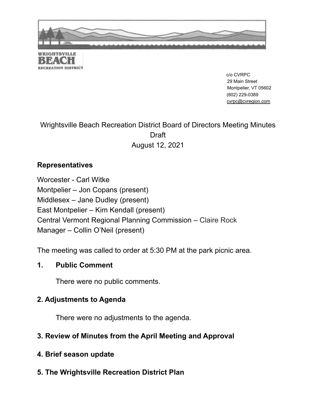

**RECREATION DISTRICT** 

c/o CVRPC 29 Main Street Montpelier, VT 05602 (802) 229-0389 cvrpc@cvregion.com

## Wrightsville Beach Recreation District Board of Directors Meeting Minutes **Draft** August 12, 2021

### **Representatives**

Worcester - Carl Witke Montpelier – Jon Copans (present) Middlesex – Jane Dudley (present) East Montpelier – Kim Kendall (present) Central Vermont Regional Planning Commission – Claire Rock Manager – Collin O'Neil (present)

The meeting was called to order at 5:30 PM at the park picnic area.

#### **1. Public Comment**

There were no public comments.

### **2. Adjustments to Agenda**

There were no adjustments to the agenda.

## **3. Review of Minutes from the April Meeting and Approval**

- **4. Brief season update**
- **5. The Wrightsville Recreation District Plan**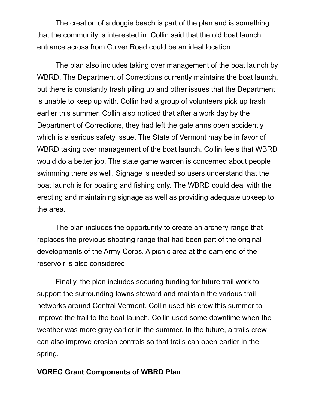The creation of a doggie beach is part of the plan and is something that the community is interested in. Collin said that the old boat launch entrance across from Culver Road could be an ideal location.

The plan also includes taking over management of the boat launch by WBRD. The Department of Corrections currently maintains the boat launch, but there is constantly trash piling up and other issues that the Department is unable to keep up with. Collin had a group of volunteers pick up trash earlier this summer. Collin also noticed that after a work day by the Department of Corrections, they had left the gate arms open accidently which is a serious safety issue. The State of Vermont may be in favor of WBRD taking over management of the boat launch. Collin feels that WBRD would do a better job. The state game warden is concerned about people swimming there as well. Signage is needed so users understand that the boat launch is for boating and fishing only. The WBRD could deal with the erecting and maintaining signage as well as providing adequate upkeep to the area.

The plan includes the opportunity to create an archery range that replaces the previous shooting range that had been part of the original developments of the Army Corps. A picnic area at the dam end of the reservoir is also considered.

Finally, the plan includes securing funding for future trail work to support the surrounding towns steward and maintain the various trail networks around Central Vermont. Collin used his crew this summer to improve the trail to the boat launch. Collin used some downtime when the weather was more gray earlier in the summer. In the future, a trails crew can also improve erosion controls so that trails can open earlier in the spring.

#### **VOREC Grant Components of WBRD Plan**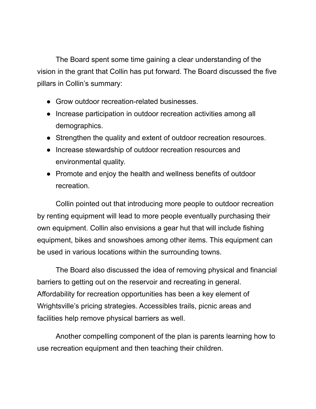The Board spent some time gaining a clear understanding of the vision in the grant that Collin has put forward. The Board discussed the five pillars in Collin's summary:

- Grow outdoor recreation-related businesses.
- Increase participation in outdoor recreation activities among all demographics.
- Strengthen the quality and extent of outdoor recreation resources.
- Increase stewardship of outdoor recreation resources and environmental quality.
- Promote and enjoy the health and wellness benefits of outdoor recreation.

Collin pointed out that introducing more people to outdoor recreation by renting equipment will lead to more people eventually purchasing their own equipment. Collin also envisions a gear hut that will include fishing equipment, bikes and snowshoes among other items. This equipment can be used in various locations within the surrounding towns.

The Board also discussed the idea of removing physical and financial barriers to getting out on the reservoir and recreating in general. Affordability for recreation opportunities has been a key element of Wrightsville's pricing strategies. Accessibles trails, picnic areas and facilities help remove physical barriers as well.

Another compelling component of the plan is parents learning how to use recreation equipment and then teaching their children.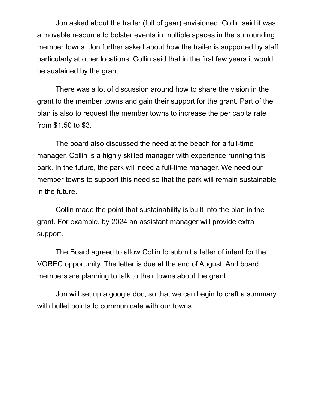Jon asked about the trailer (full of gear) envisioned. Collin said it was a movable resource to bolster events in multiple spaces in the surrounding member towns. Jon further asked about how the trailer is supported by staff particularly at other locations. Collin said that in the first few years it would be sustained by the grant.

There was a lot of discussion around how to share the vision in the grant to the member towns and gain their support for the grant. Part of the plan is also to request the member towns to increase the per capita rate from \$1.50 to \$3.

The board also discussed the need at the beach for a full-time manager. Collin is a highly skilled manager with experience running this park. In the future, the park will need a full-time manager. We need our member towns to support this need so that the park will remain sustainable in the future.

Collin made the point that sustainability is built into the plan in the grant. For example, by 2024 an assistant manager will provide extra support.

The Board agreed to allow Collin to submit a letter of intent for the VOREC opportunity. The letter is due at the end of August. And board members are planning to talk to their towns about the grant.

Jon will set up a google doc, so that we can begin to craft a summary with bullet points to communicate with our towns.